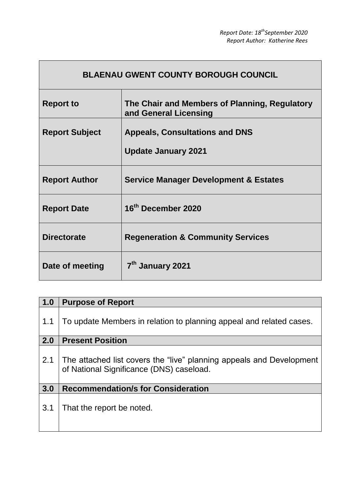٦

| <b>BLAENAU GWENT COUNTY BOROUGH COUNCIL</b> |                                                                        |  |  |  |  |
|---------------------------------------------|------------------------------------------------------------------------|--|--|--|--|
| <b>Report to</b>                            | The Chair and Members of Planning, Regulatory<br>and General Licensing |  |  |  |  |
| <b>Report Subject</b>                       | <b>Appeals, Consultations and DNS</b><br><b>Update January 2021</b>    |  |  |  |  |
| <b>Report Author</b>                        | <b>Service Manager Development &amp; Estates</b>                       |  |  |  |  |
| <b>Report Date</b>                          | 16 <sup>th</sup> December 2020                                         |  |  |  |  |
| <b>Directorate</b>                          | <b>Regeneration &amp; Community Services</b>                           |  |  |  |  |
| Date of meeting                             | 7 <sup>th</sup> January 2021                                           |  |  |  |  |

 $\mathbf{I}$ 

| 1.0 | <b>Purpose of Report</b>                                                                                         |
|-----|------------------------------------------------------------------------------------------------------------------|
| 1.1 | To update Members in relation to planning appeal and related cases.                                              |
| 2.0 | <b>Present Position</b>                                                                                          |
| 2.1 | The attached list covers the "live" planning appeals and Development<br>of National Significance (DNS) caseload. |
| 3.0 | <b>Recommendation/s for Consideration</b>                                                                        |
| 3.1 | That the report be noted.                                                                                        |